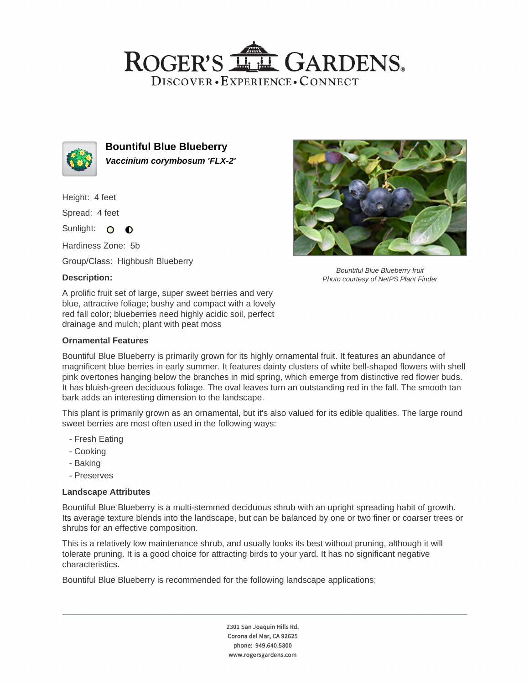## ROGER'S LL GARDENS. DISCOVER · EXPERIENCE · CONNECT



**Bountiful Blue Blueberry Vaccinium corymbosum 'FLX-2'**

Height: 4 feet

Spread: 4 feet

Sunlight: O  $\bullet$ 

Hardiness Zone: 5b

Group/Class: Highbush Blueberry

## **Description:**

A prolific fruit set of large, super sweet berries and very blue, attractive foliage; bushy and compact with a lovely red fall color; blueberries need highly acidic soil, perfect drainage and mulch; plant with peat moss

#### **Ornamental Features**

Bountiful Blue Blueberry fruit Photo courtesy of NetPS Plant Finder

Bountiful Blue Blueberry is primarily grown for its highly ornamental fruit. It features an abundance of magnificent blue berries in early summer. It features dainty clusters of white bell-shaped flowers with shell pink overtones hanging below the branches in mid spring, which emerge from distinctive red flower buds. It has bluish-green deciduous foliage. The oval leaves turn an outstanding red in the fall. The smooth tan bark adds an interesting dimension to the landscape.

This plant is primarily grown as an ornamental, but it's also valued for its edible qualities. The large round sweet berries are most often used in the following ways:

- Fresh Eating
- Cooking
- Baking
- Preserves

#### **Landscape Attributes**

Bountiful Blue Blueberry is a multi-stemmed deciduous shrub with an upright spreading habit of growth. Its average texture blends into the landscape, but can be balanced by one or two finer or coarser trees or shrubs for an effective composition.

This is a relatively low maintenance shrub, and usually looks its best without pruning, although it will tolerate pruning. It is a good choice for attracting birds to your yard. It has no significant negative characteristics.

Bountiful Blue Blueberry is recommended for the following landscape applications;

2301 San Joaquin Hills Rd. Corona del Mar, CA 92625 phone: 949.640.5800 www.rogersgardens.com